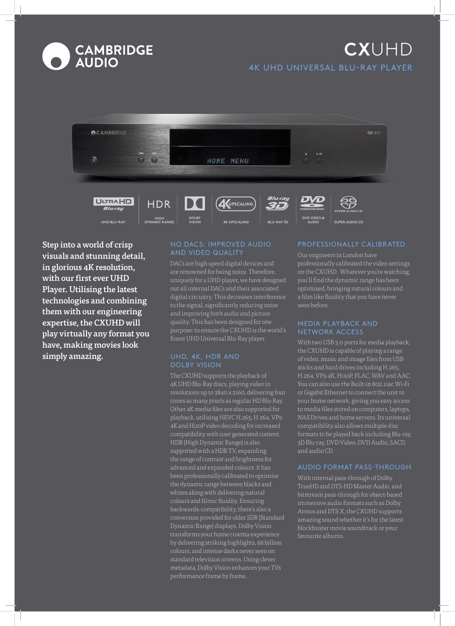

# **CX**UHD 4K UHD UNIVERSAL BLU-RAY PLAYER



**UHD BLU-RAY AUDIO SUPER AUDIO CD**

**4K UPSCALING BLU-RAY 3D**

Step into a world of crisp visuals and stunning detail, in glorious 4K resolution, with our first ever UHD Player. Utilising the latest technologies and combining them with our engineering expertise, the CXUHD will play virtually any format you have, making movies look simply amazing.

### NO DACS: IMPROVED AUDIO AND VIDEO QUALITY

**VISION**

**DYNAMIC RANGE**

DACs are high speed digital devices and are renowned for being noisy. Therefore, uniquely for a UHD player, we have designed out all internal DACs and their associated digital circuitry. This decreases interference to the signal, significantly reducing noise and improving both audio and picture quality. This has been designed for one purpose: to ensure the CXUHD is the world's finest UHD Universal Blu-Ray player.

### UHD, 4K, HDR AND DOLBY VISION

The CXUHD supports the playback of 4K UHD Blu-Ray discs, playing video in resolutions up to 3840 x 2160, delivering four times as many pixels as regular HD Blu-Ray. Other 4K media files are also supported for playback, utilising HEVC H.265, H.264, VP9 4K and Hi10P video decoding for increased compatibility with user generated content. HDR (High Dynamic Range) is also supported with a HDR TV, expanding the range of contrast and brightness for advanced and expanded colours. It has been professionally calibrated to optimise the dynamic range between blacks and whites along with delivering natural colours and filmic fluidity. Ensuring backwards-compatibility, there's also a conversion provided for older SDR (Standard Dynamic Range) displays. Dolby Vision transforms your home cinema experience by delivering striking highlights, 68 billion colours, and intense darks never seen on standard television screens. Using clever metadata, Dolby Vision enhances your TVs performance frame by frame.

## PROFESSIONALLY CALIBRATED

Our engineers in London have professionally calibrated the video settings on the CXUHD. Whatever you're watching, you'll find the dynamic range has been optimised, bringing natural colours and a film like fluidity that you have never seen before.

#### MEDIA PLAYBACK AND NETWORK ACCESS

With two USB 3.0 ports for media playback, the CXUHD is capable of playing a range of video, music and image files from USB sticks and hard drives including H.265, H.264, VP9 4K, Hi10P, FLAC, WAV and AAC. You can also use the Built-in 802.11ac Wi-Fi or Gigabit Ethernet to connect the unit to your home network, giving you easy access to media files stored on computers, laptops, NAS Drives and home servers. Its universal compatibility also allows multiple disc formats to be played back including Blu-ray, 3D Blu-ray, DVD Video, DVD Audio, SACD, and audio CD.

#### AUDIO FORMAT PASS-THROUGH

With internal pass-through of Dolby TrueHD and DTS-HD Master Audio, and bitstream pass-through for object-based immersive audio formats such as Dolby Atmos and DTS:X, the CXUHD supports amazing sound whether it's for the latest blockbuster movie soundtrack or your favourite albums.